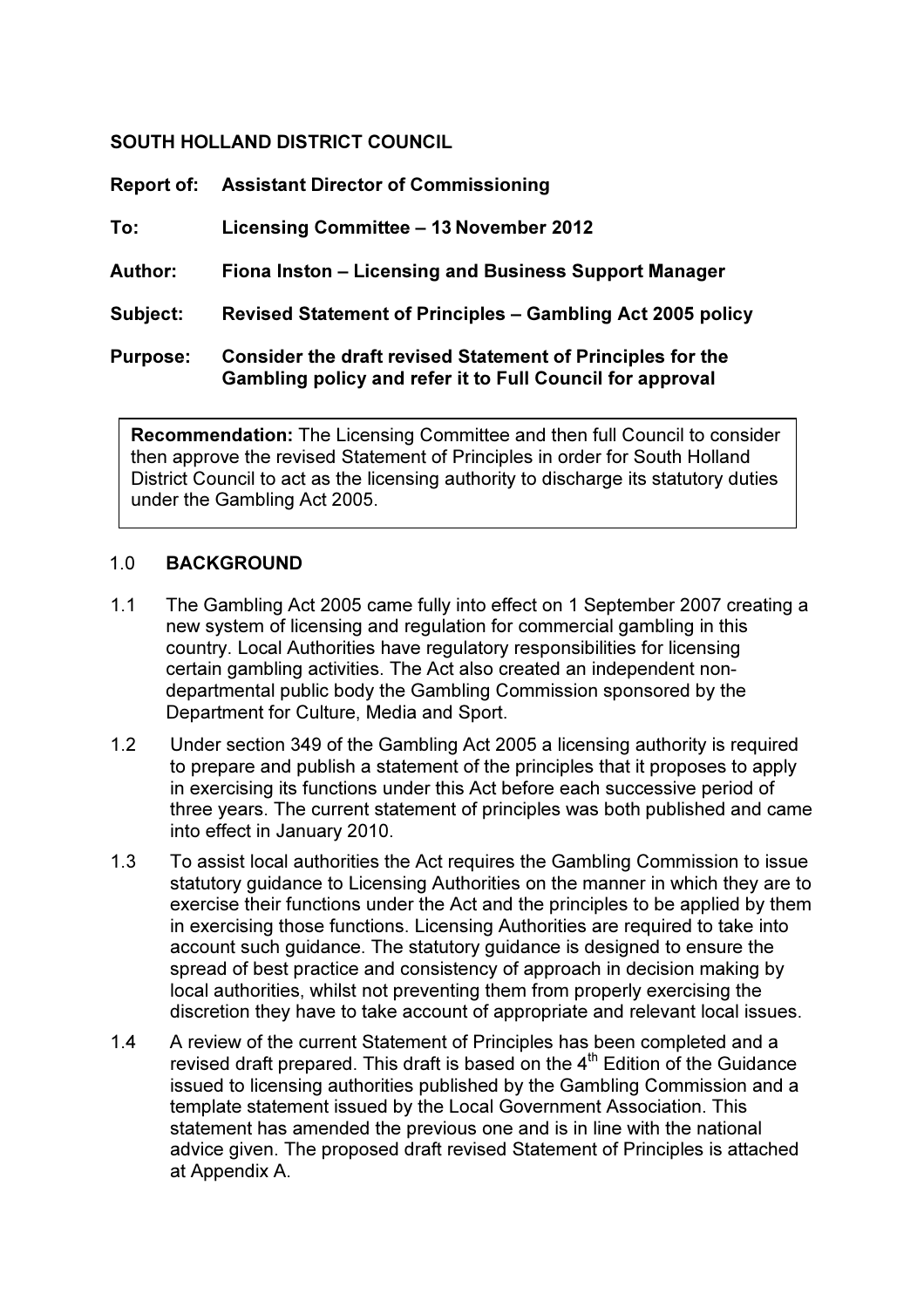## SOUTH HOLLAND DISTRICT COUNCIL

| <b>Report of:</b> | <b>Assistant Director of Commissioning</b>                                                                                     |
|-------------------|--------------------------------------------------------------------------------------------------------------------------------|
| To:               | Licensing Committee - 13 November 2012                                                                                         |
| Author:           | Fiona Inston – Licensing and Business Support Manager                                                                          |
| Subject:          | <b>Revised Statement of Principles – Gambling Act 2005 policy</b>                                                              |
| <b>Purpose:</b>   | <b>Consider the draft revised Statement of Principles for the</b><br>Gambling policy and refer it to Full Council for approval |

Recommendation: The Licensing Committee and then full Council to consider then approve the revised Statement of Principles in order for South Holland District Council to act as the licensing authority to discharge its statutory duties under the Gambling Act 2005.

### 1.0 BACKGROUND

- 1.1 The Gambling Act 2005 came fully into effect on 1 September 2007 creating a new system of licensing and regulation for commercial gambling in this country. Local Authorities have regulatory responsibilities for licensing certain gambling activities. The Act also created an independent non departmental public body the Gambling Commission sponsored by the Department for Culture, Media and Sport.
- 1.2 Under section 349 of the Gambling Act 2005 a licensing authority is required to prepare and publish a statement of the principles that it proposes to apply in exercising its functions under this Act before each successive period of three years. The current statement of principles was both published and came into effect in January 2010.
- 1.3 To assist local authorities the Act requires the Gambling Commission to issue statutory guidance to Licensing Authorities on the manner in which they are to exercise their functions under the Act and the principles to be applied by them in exercising those functions. Licensing Authorities are required to take into account such guidance. The statutory guidance is designed to ensure the spread of best practice and consistency of approach in decision making by local authorities, whilst not preventing them from properly exercising the discretion they have to take account of appropriate and relevant local issues.
- 1.4 A review of the current Statement of Principles has been completed and a revised draft prepared. This draft is based on the  $4^{\text{th}}$  Edition of the Guidance issued to licensing authorities published by the Gambling Commission and a template statement issued by the Local Government Association. This statement has amended the previous one and is in line with the national advice given. The proposed draft revised Statement of Principles is attached at Appendix A.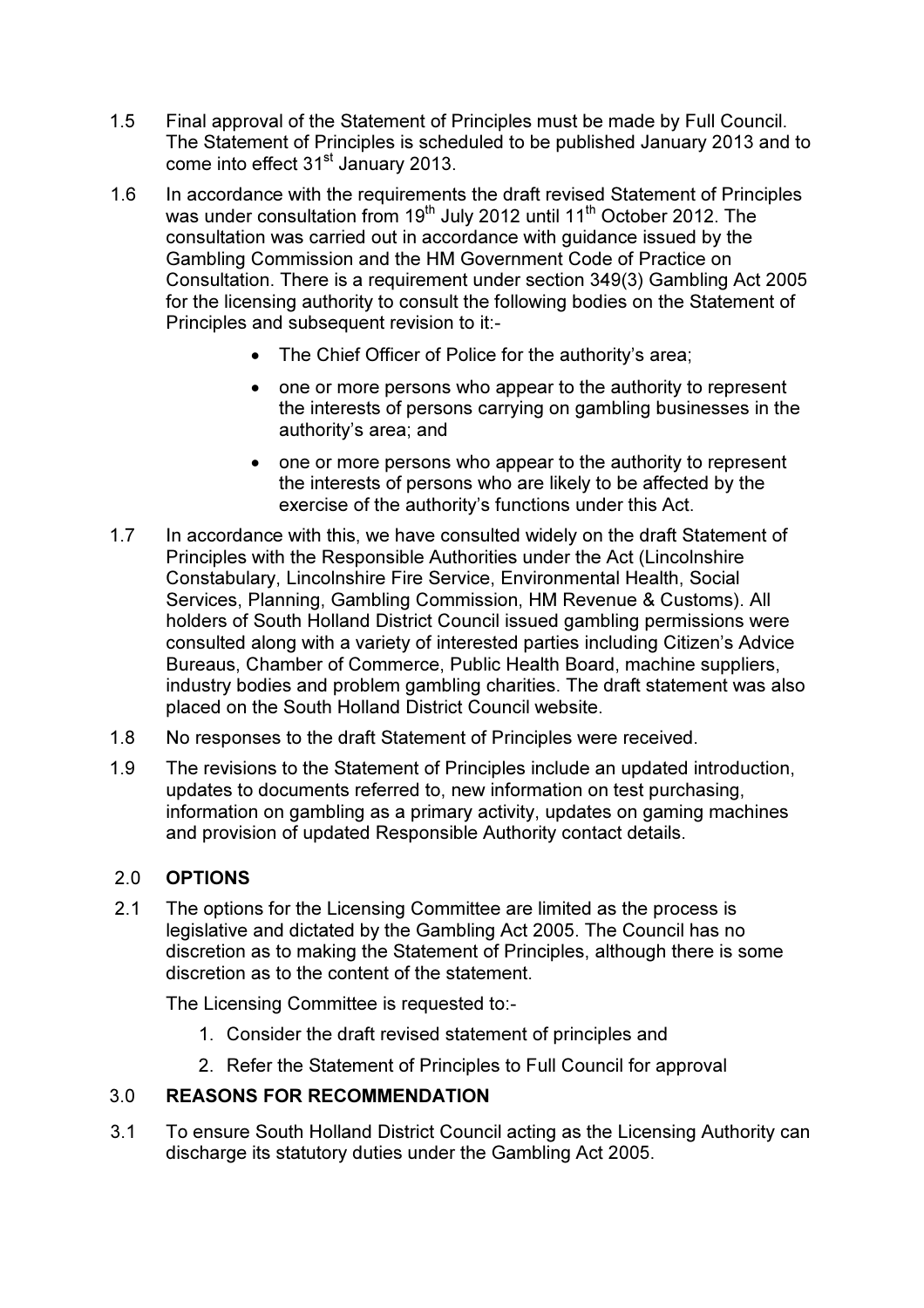- 1.5 Final approval of the Statement of Principles must be made by Full Council. The Statement of Principles is scheduled to be published January 2013 and to come into effect 31<sup>st</sup> January 2013.
- 1.6 In accordance with the requirements the draft revised Statement of Principles was under consultation from  $19<sup>th</sup>$  July 2012 until 11<sup>th</sup> October 2012. The consultation was carried out in accordance with guidance issued by the Gambling Commission and the HM Government Code of Practice on Consultation. There is a requirement under section 349(3) Gambling Act 2005 for the licensing authority to consult the following bodies on the Statement of Principles and subsequent revision to it:-
	- The Chief Officer of Police for the authority's area;
	- one or more persons who appear to the authority to represent the interests of persons carrying on gambling businesses in the authority's area; and
	- one or more persons who appear to the authority to represent the interests of persons who are likely to be affected by the exercise of the authority's functions under this Act.
- 1.7 In accordance with this, we have consulted widely on the draft Statement of Principles with the Responsible Authorities under the Act (Lincolnshire Constabulary, Lincolnshire Fire Service, Environmental Health, Social Services, Planning, Gambling Commission, HM Revenue & Customs). All holders of South Holland District Council issued gambling permissions were consulted along with a variety of interested parties including Citizen's Advice Bureaus, Chamber of Commerce, Public Health Board, machine suppliers, industry bodies and problem gambling charities. The draft statement was also placed on the South Holland District Council website.
- 1.8 No responses to the draft Statement of Principles were received.
- 1.9 The revisions to the Statement of Principles include an updated introduction, updates to documents referred to, new information on test purchasing, information on gambling as a primary activity, updates on gaming machines and provision of updated Responsible Authority contact details.

# 2.0 OPTIONS

2.1 The options for the Licensing Committee are limited as the process is legislative and dictated by the Gambling Act 2005. The Council has no discretion as to making the Statement of Principles, although there is some discretion as to the content of the statement.

The Licensing Committee is requested to:-

- 1. Consider the draft revised statement of principles and
- 2. Refer the Statement of Principles to Full Council for approval

# 3.0 REASONS FOR RECOMMENDATION

3.1 To ensure South Holland District Council acting as the Licensing Authority can discharge its statutory duties under the Gambling Act 2005.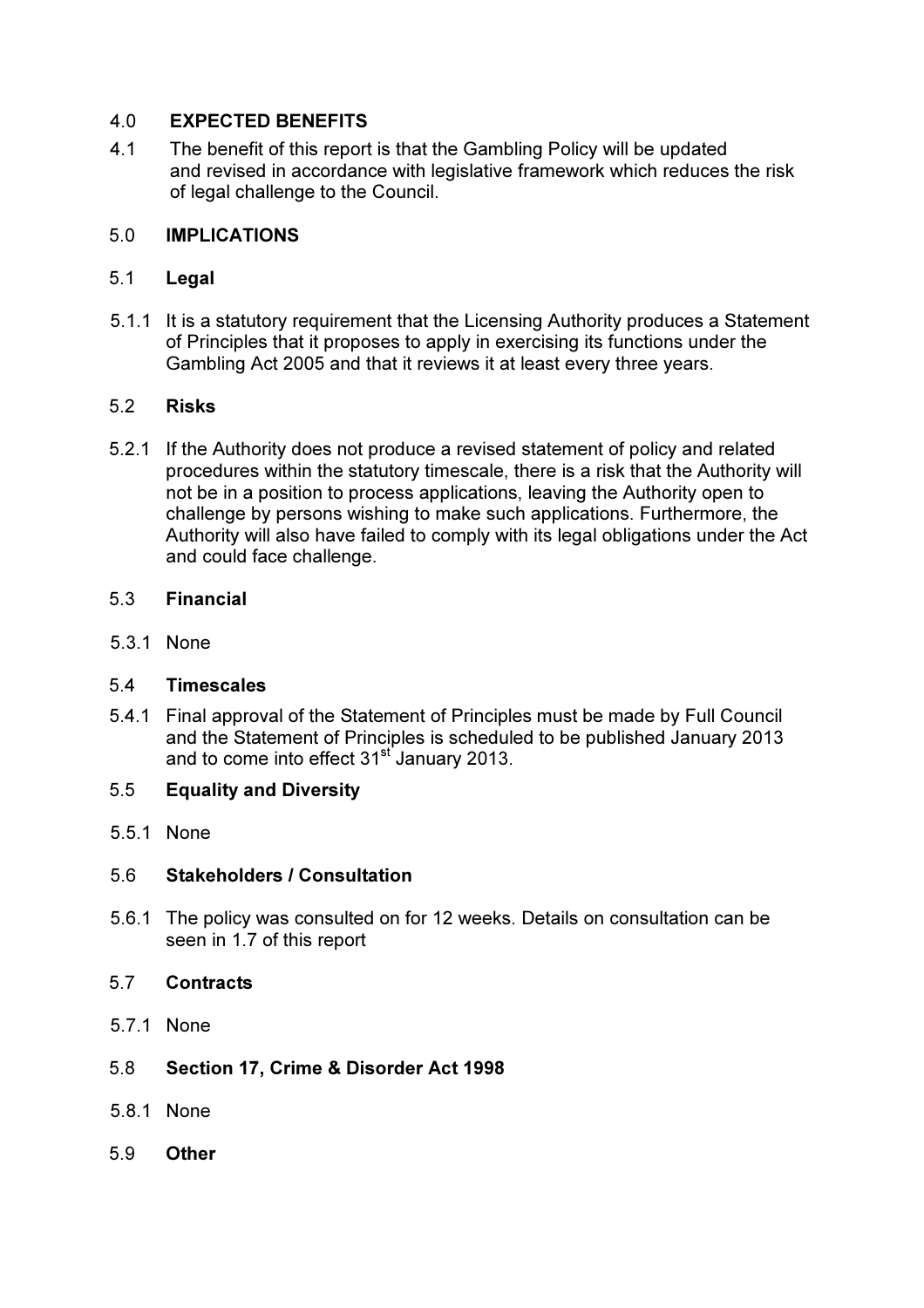## 4.0 EXPECTED BENEFITS

4.1 The benefit of this report is that the Gambling Policy will be updated and revised in accordance with legislative framework which reduces the risk of legal challenge to the Council.

### 5.0 IMPLICATIONS

### 5.1 Legal

 5.1.1 It is a statutory requirement that the Licensing Authority produces a Statement of Principles that it proposes to apply in exercising its functions under the Gambling Act 2005 and that it reviews it at least every three years.

### 5.2 Risks

5.2.1 If the Authority does not produce a revised statement of policy and related procedures within the statutory timescale, there is a risk that the Authority will not be in a position to process applications, leaving the Authority open to challenge by persons wishing to make such applications. Furthermore, the Authority will also have failed to comply with its legal obligations under the Act and could face challenge.

### 5.3 Financial

5.3.1 None

### 5.4 Timescales

5.4.1 Final approval of the Statement of Principles must be made by Full Council and the Statement of Principles is scheduled to be published January 2013 and to come into effect 31<sup>st</sup> January 2013.

# 5.5 Equality and Diversity

5.5.1 None

# 5.6 Stakeholders / Consultation

5.6.1 The policy was consulted on for 12 weeks. Details on consultation can be seen in 1.7 of this report

### 5.7 Contracts

5.7.1 None

# 5.8 Section 17, Crime & Disorder Act 1998

- 5.8.1 None
- 5.9 Other